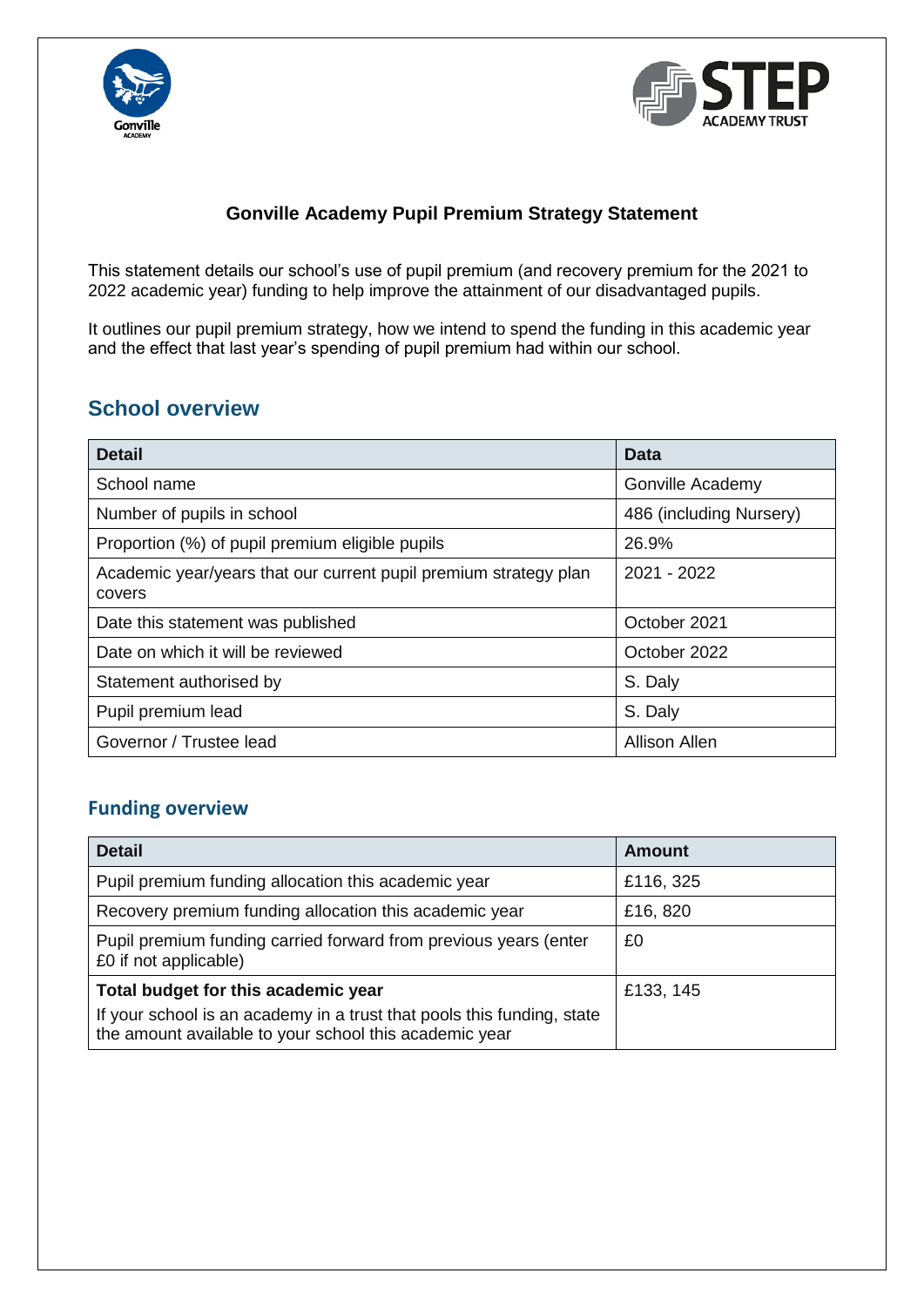



#### **Gonville Academy Pupil Premium Strategy Statement**

This statement details our school's use of pupil premium (and recovery premium for the 2021 to 2022 academic year) funding to help improve the attainment of our disadvantaged pupils.

It outlines our pupil premium strategy, how we intend to spend the funding in this academic year and the effect that last year's spending of pupil premium had within our school.

### **School overview**

| <b>Detail</b>                                                              | Data                    |
|----------------------------------------------------------------------------|-------------------------|
| School name                                                                | Gonville Academy        |
| Number of pupils in school                                                 | 486 (including Nursery) |
| Proportion (%) of pupil premium eligible pupils                            | 26.9%                   |
| Academic year/years that our current pupil premium strategy plan<br>covers | 2021 - 2022             |
| Date this statement was published                                          | October 2021            |
| Date on which it will be reviewed                                          | October 2022            |
| Statement authorised by                                                    | S. Daly                 |
| Pupil premium lead                                                         | S. Daly                 |
| Governor / Trustee lead                                                    | Allison Allen           |

#### **Funding overview**

| <b>Detail</b>                                                                                                                    | <b>Amount</b> |
|----------------------------------------------------------------------------------------------------------------------------------|---------------|
| Pupil premium funding allocation this academic year                                                                              | £116, 325     |
| Recovery premium funding allocation this academic year                                                                           | £16, 820      |
| Pupil premium funding carried forward from previous years (enter<br>£0 if not applicable)                                        | £0            |
| Total budget for this academic year                                                                                              | £133, 145     |
| If your school is an academy in a trust that pools this funding, state<br>the amount available to your school this academic year |               |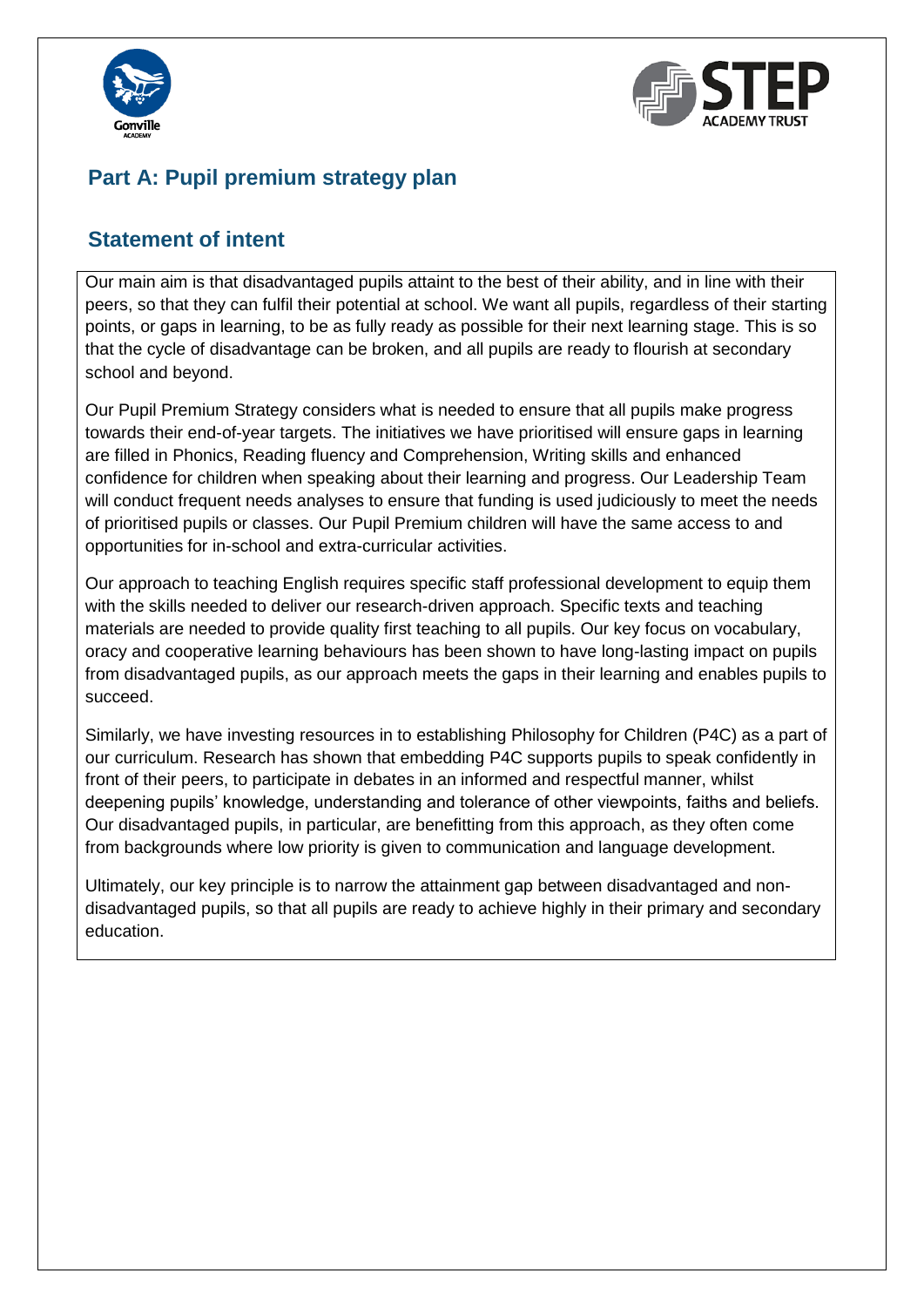



### **Part A: Pupil premium strategy plan**

### **Statement of intent**

Our main aim is that disadvantaged pupils attaint to the best of their ability, and in line with their peers, so that they can fulfil their potential at school. We want all pupils, regardless of their starting points, or gaps in learning, to be as fully ready as possible for their next learning stage. This is so that the cycle of disadvantage can be broken, and all pupils are ready to flourish at secondary school and beyond.

Our Pupil Premium Strategy considers what is needed to ensure that all pupils make progress towards their end-of-year targets. The initiatives we have prioritised will ensure gaps in learning are filled in Phonics, Reading fluency and Comprehension, Writing skills and enhanced confidence for children when speaking about their learning and progress. Our Leadership Team will conduct frequent needs analyses to ensure that funding is used judiciously to meet the needs of prioritised pupils or classes. Our Pupil Premium children will have the same access to and opportunities for in-school and extra-curricular activities.

Our approach to teaching English requires specific staff professional development to equip them with the skills needed to deliver our research-driven approach. Specific texts and teaching materials are needed to provide quality first teaching to all pupils. Our key focus on vocabulary, oracy and cooperative learning behaviours has been shown to have long-lasting impact on pupils from disadvantaged pupils, as our approach meets the gaps in their learning and enables pupils to succeed.

Similarly, we have investing resources in to establishing Philosophy for Children (P4C) as a part of our curriculum. Research has shown that embedding P4C supports pupils to speak confidently in front of their peers, to participate in debates in an informed and respectful manner, whilst deepening pupils' knowledge, understanding and tolerance of other viewpoints, faiths and beliefs. Our disadvantaged pupils, in particular, are benefitting from this approach, as they often come from backgrounds where low priority is given to communication and language development.

Ultimately, our key principle is to narrow the attainment gap between disadvantaged and nondisadvantaged pupils, so that all pupils are ready to achieve highly in their primary and secondary education.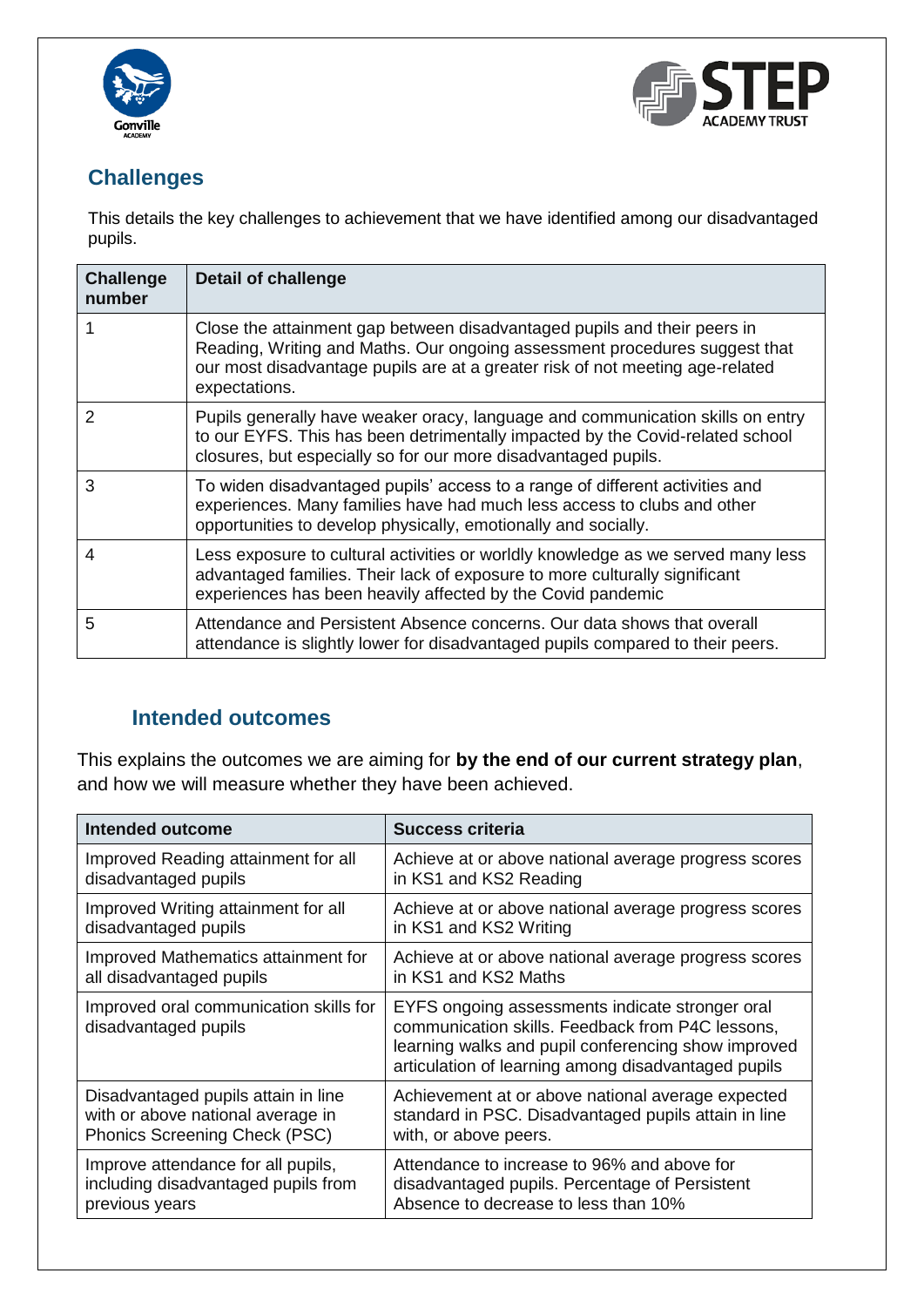



## **Challenges**

This details the key challenges to achievement that we have identified among our disadvantaged pupils.

| <b>Challenge</b><br>number | <b>Detail of challenge</b>                                                                                                                                                                                                                               |
|----------------------------|----------------------------------------------------------------------------------------------------------------------------------------------------------------------------------------------------------------------------------------------------------|
|                            | Close the attainment gap between disadvantaged pupils and their peers in<br>Reading, Writing and Maths. Our ongoing assessment procedures suggest that<br>our most disadvantage pupils are at a greater risk of not meeting age-related<br>expectations. |
| 2                          | Pupils generally have weaker oracy, language and communication skills on entry<br>to our EYFS. This has been detrimentally impacted by the Covid-related school<br>closures, but especially so for our more disadvantaged pupils.                        |
| 3                          | To widen disadvantaged pupils' access to a range of different activities and<br>experiences. Many families have had much less access to clubs and other<br>opportunities to develop physically, emotionally and socially.                                |
| 4                          | Less exposure to cultural activities or worldly knowledge as we served many less<br>advantaged families. Their lack of exposure to more culturally significant<br>experiences has been heavily affected by the Covid pandemic                            |
| 5                          | Attendance and Persistent Absence concerns. Our data shows that overall<br>attendance is slightly lower for disadvantaged pupils compared to their peers.                                                                                                |

### **Intended outcomes**

This explains the outcomes we are aiming for **by the end of our current strategy plan**, and how we will measure whether they have been achieved.

| <b>Intended outcome</b>                                        | <b>Success criteria</b>                                                                                                                                                                                           |
|----------------------------------------------------------------|-------------------------------------------------------------------------------------------------------------------------------------------------------------------------------------------------------------------|
| Improved Reading attainment for all                            | Achieve at or above national average progress scores                                                                                                                                                              |
| disadvantaged pupils                                           | in KS1 and KS2 Reading                                                                                                                                                                                            |
| Improved Writing attainment for all                            | Achieve at or above national average progress scores                                                                                                                                                              |
| disadvantaged pupils                                           | in KS1 and KS2 Writing                                                                                                                                                                                            |
| Improved Mathematics attainment for                            | Achieve at or above national average progress scores                                                                                                                                                              |
| all disadvantaged pupils                                       | in KS1 and KS2 Maths                                                                                                                                                                                              |
| Improved oral communication skills for<br>disadvantaged pupils | EYFS ongoing assessments indicate stronger oral<br>communication skills. Feedback from P4C lessons,<br>learning walks and pupil conferencing show improved<br>articulation of learning among disadvantaged pupils |
| Disadvantaged pupils attain in line                            | Achievement at or above national average expected                                                                                                                                                                 |
| with or above national average in                              | standard in PSC. Disadvantaged pupils attain in line                                                                                                                                                              |
| Phonics Screening Check (PSC)                                  | with, or above peers.                                                                                                                                                                                             |
| Improve attendance for all pupils,                             | Attendance to increase to 96% and above for                                                                                                                                                                       |
| including disadvantaged pupils from                            | disadvantaged pupils. Percentage of Persistent                                                                                                                                                                    |
| previous years                                                 | Absence to decrease to less than 10%                                                                                                                                                                              |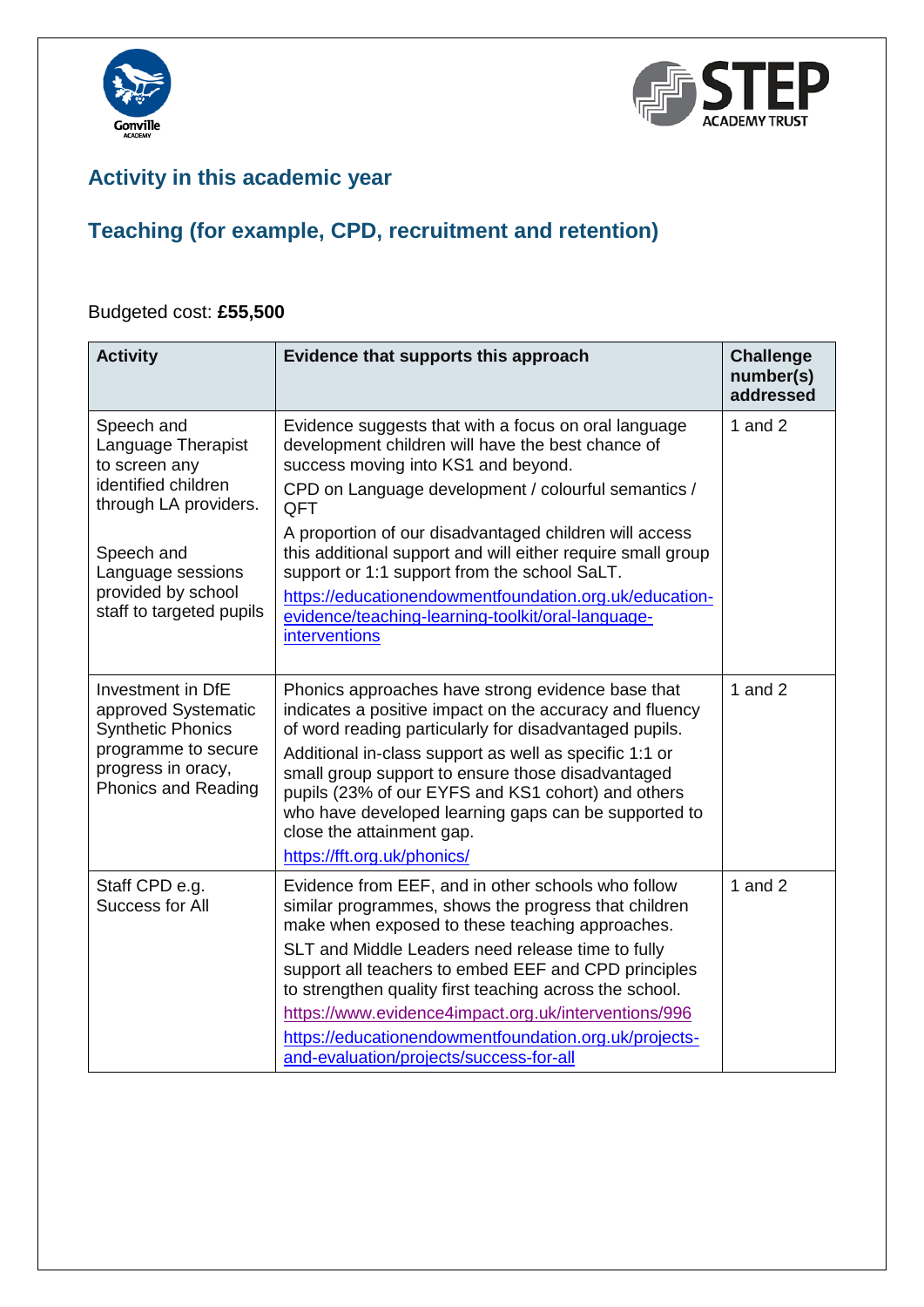



## **Activity in this academic year**

# **Teaching (for example, CPD, recruitment and retention)**

#### Budgeted cost: **£55,500**

| <b>Activity</b>                                                                                                                          | Evidence that supports this approach                                                                                                                                                                                                                                                                                                                                                                                                                                                              | <b>Challenge</b><br>number(s)<br>addressed |
|------------------------------------------------------------------------------------------------------------------------------------------|---------------------------------------------------------------------------------------------------------------------------------------------------------------------------------------------------------------------------------------------------------------------------------------------------------------------------------------------------------------------------------------------------------------------------------------------------------------------------------------------------|--------------------------------------------|
| Speech and<br>Language Therapist<br>to screen any<br>identified children<br>through LA providers.                                        | Evidence suggests that with a focus on oral language<br>development children will have the best chance of<br>success moving into KS1 and beyond.<br>CPD on Language development / colourful semantics /<br>QFT<br>A proportion of our disadvantaged children will access                                                                                                                                                                                                                          | 1 and $2$                                  |
| Speech and<br>Language sessions<br>provided by school<br>staff to targeted pupils                                                        | this additional support and will either require small group<br>support or 1:1 support from the school SaLT.<br>https://educationendowmentfoundation.org.uk/education-<br>evidence/teaching-learning-toolkit/oral-language-<br>interventions                                                                                                                                                                                                                                                       |                                            |
| Investment in DfE<br>approved Systematic<br><b>Synthetic Phonics</b><br>programme to secure<br>progress in oracy,<br>Phonics and Reading | Phonics approaches have strong evidence base that<br>indicates a positive impact on the accuracy and fluency<br>of word reading particularly for disadvantaged pupils.<br>Additional in-class support as well as specific 1:1 or<br>small group support to ensure those disadvantaged<br>pupils (23% of our EYFS and KS1 cohort) and others<br>who have developed learning gaps can be supported to<br>close the attainment gap.<br>https://fft.org.uk/phonics/                                   | 1 and $2$                                  |
| Staff CPD e.g.<br>Success for All                                                                                                        | Evidence from EEF, and in other schools who follow<br>similar programmes, shows the progress that children<br>make when exposed to these teaching approaches.<br>SLT and Middle Leaders need release time to fully<br>support all teachers to embed EEF and CPD principles<br>to strengthen quality first teaching across the school.<br>https://www.evidence4impact.org.uk/interventions/996<br>https://educationendowmentfoundation.org.uk/projects-<br>and-evaluation/projects/success-for-all | 1 and $2$                                  |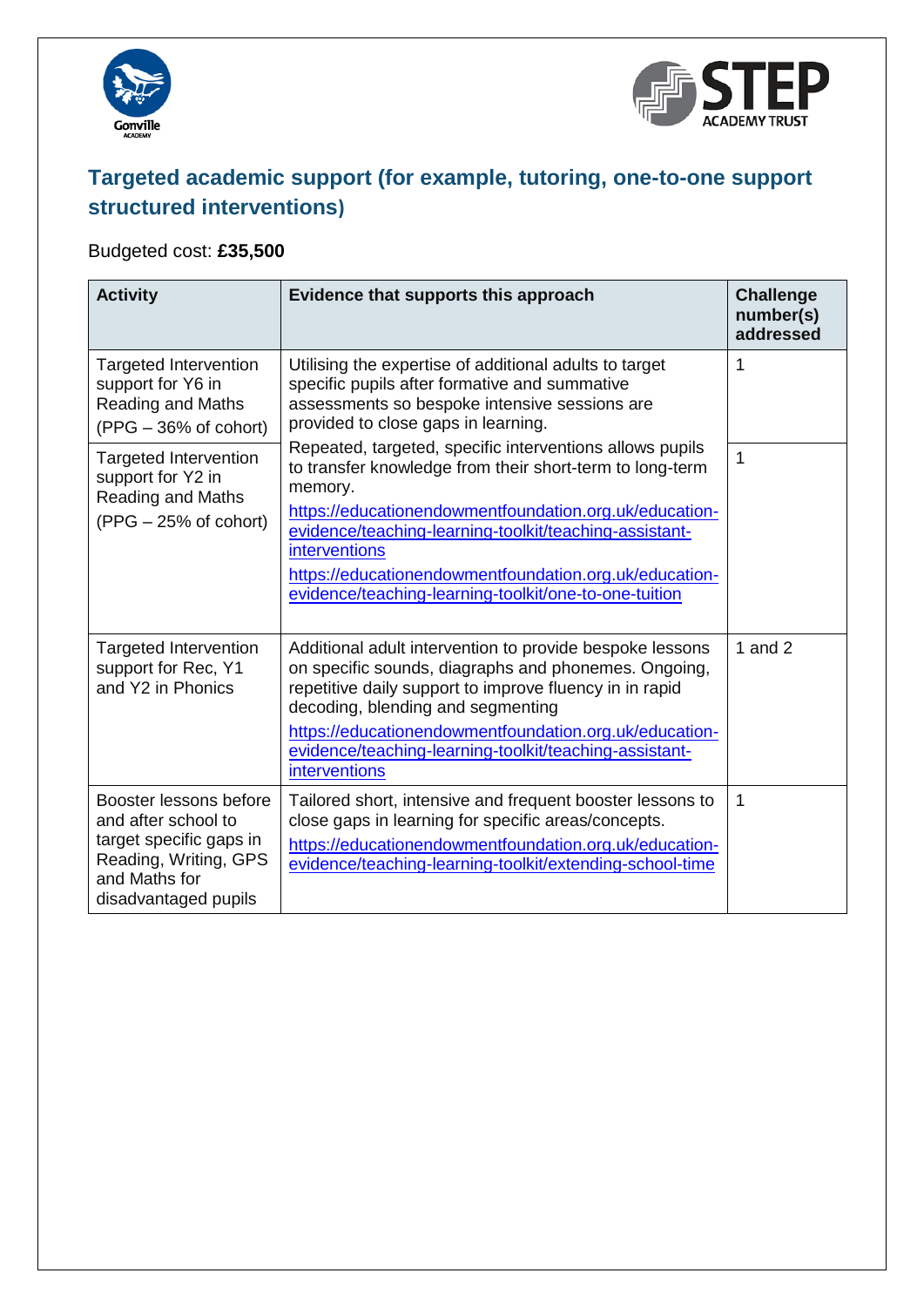



# **Targeted academic support (for example, tutoring, one-to-one support structured interventions)**

## Budgeted cost: **£35,500**

| <b>Activity</b>                                                                                                                            | Evidence that supports this approach                                                                                                                                                                                                                                                                                                                                                    | <b>Challenge</b><br>number(s)<br>addressed |
|--------------------------------------------------------------------------------------------------------------------------------------------|-----------------------------------------------------------------------------------------------------------------------------------------------------------------------------------------------------------------------------------------------------------------------------------------------------------------------------------------------------------------------------------------|--------------------------------------------|
| <b>Targeted Intervention</b><br>support for Y6 in<br><b>Reading and Maths</b><br>$(PPG - 36\% \text{ of cohort})$                          | Utilising the expertise of additional adults to target<br>specific pupils after formative and summative<br>assessments so bespoke intensive sessions are<br>provided to close gaps in learning.                                                                                                                                                                                         | 1                                          |
| <b>Targeted Intervention</b><br>support for Y2 in<br>Reading and Maths<br>$(PPG - 25\% \text{ of cohort})$                                 | Repeated, targeted, specific interventions allows pupils<br>to transfer knowledge from their short-term to long-term<br>memory.<br>https://educationendowmentfoundation.org.uk/education-<br>evidence/teaching-learning-toolkit/teaching-assistant-<br>interventions<br>https://educationendowmentfoundation.org.uk/education-<br>evidence/teaching-learning-toolkit/one-to-one-tuition | $\overline{1}$                             |
| <b>Targeted Intervention</b><br>support for Rec, Y1<br>and Y2 in Phonics                                                                   | Additional adult intervention to provide bespoke lessons<br>on specific sounds, diagraphs and phonemes. Ongoing,<br>repetitive daily support to improve fluency in in rapid<br>decoding, blending and segmenting<br>https://educationendowmentfoundation.org.uk/education-<br>evidence/teaching-learning-toolkit/teaching-assistant-<br>interventions                                   | 1 and $2$                                  |
| Booster lessons before<br>and after school to<br>target specific gaps in<br>Reading, Writing, GPS<br>and Maths for<br>disadvantaged pupils | Tailored short, intensive and frequent booster lessons to<br>close gaps in learning for specific areas/concepts.<br>https://educationendowmentfoundation.org.uk/education-<br>evidence/teaching-learning-toolkit/extending-school-time                                                                                                                                                  | 1                                          |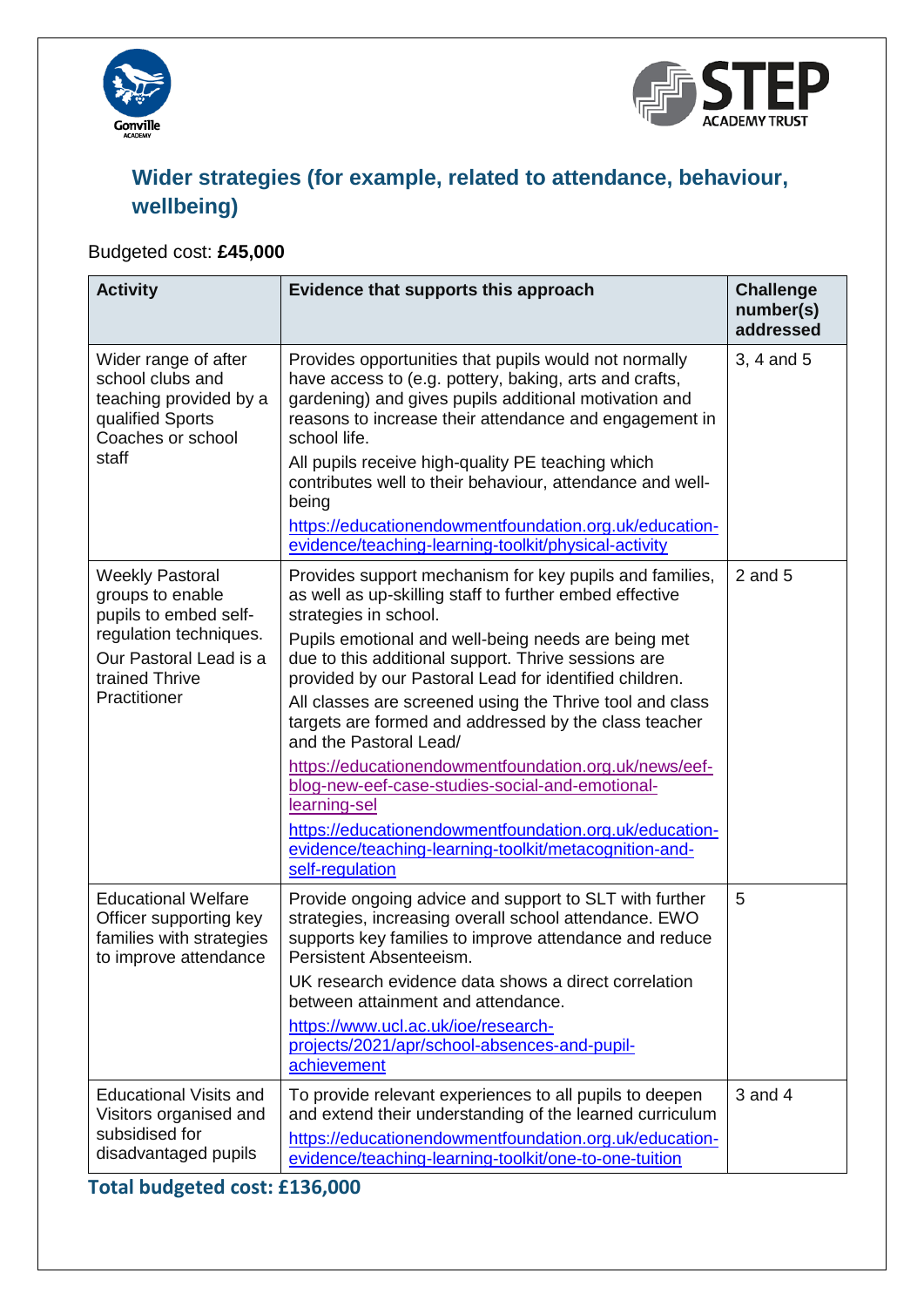



# **Wider strategies (for example, related to attendance, behaviour, wellbeing)**

## Budgeted cost: **£45,000**

| <b>Activity</b>                                                                                             | Evidence that supports this approach                                                                                                                                                                                                               | <b>Challenge</b><br>number(s)<br>addressed |
|-------------------------------------------------------------------------------------------------------------|----------------------------------------------------------------------------------------------------------------------------------------------------------------------------------------------------------------------------------------------------|--------------------------------------------|
| Wider range of after<br>school clubs and<br>teaching provided by a<br>qualified Sports<br>Coaches or school | Provides opportunities that pupils would not normally<br>have access to (e.g. pottery, baking, arts and crafts,<br>gardening) and gives pupils additional motivation and<br>reasons to increase their attendance and engagement in<br>school life. | 3, 4 and 5                                 |
| staff                                                                                                       | All pupils receive high-quality PE teaching which<br>contributes well to their behaviour, attendance and well-<br>being                                                                                                                            |                                            |
|                                                                                                             | https://educationendowmentfoundation.org.uk/education-<br>evidence/teaching-learning-toolkit/physical-activity                                                                                                                                     |                                            |
| <b>Weekly Pastoral</b><br>groups to enable<br>pupils to embed self-                                         | Provides support mechanism for key pupils and families,<br>as well as up-skilling staff to further embed effective<br>strategies in school.                                                                                                        | $2$ and $5$                                |
| regulation techniques.<br>Our Pastoral Lead is a<br>trained Thrive<br>Practitioner                          | Pupils emotional and well-being needs are being met<br>due to this additional support. Thrive sessions are<br>provided by our Pastoral Lead for identified children.                                                                               |                                            |
|                                                                                                             | All classes are screened using the Thrive tool and class<br>targets are formed and addressed by the class teacher<br>and the Pastoral Lead/                                                                                                        |                                            |
|                                                                                                             | https://educationendowmentfoundation.org.uk/news/eef-<br>blog-new-eef-case-studies-social-and-emotional-<br>learning-sel                                                                                                                           |                                            |
|                                                                                                             | https://educationendowmentfoundation.org.uk/education-<br>evidence/teaching-learning-toolkit/metacognition-and-<br>self-regulation                                                                                                                 |                                            |
| <b>Educational Welfare</b><br>Officer supporting key<br>families with strategies<br>to improve attendance   | Provide ongoing advice and support to SLT with further<br>strategies, increasing overall school attendance. EWO<br>supports key families to improve attendance and reduce<br>Persistent Absenteeism.                                               | 5                                          |
|                                                                                                             | UK research evidence data shows a direct correlation<br>between attainment and attendance.                                                                                                                                                         |                                            |
|                                                                                                             | https://www.ucl.ac.uk/ioe/research-<br>projects/2021/apr/school-absences-and-pupil-<br>achievement                                                                                                                                                 |                                            |
| <b>Educational Visits and</b><br>Visitors organised and                                                     | To provide relevant experiences to all pupils to deepen<br>and extend their understanding of the learned curriculum                                                                                                                                | 3 and 4                                    |
| subsidised for<br>disadvantaged pupils                                                                      | https://educationendowmentfoundation.org.uk/education-<br>evidence/teaching-learning-toolkit/one-to-one-tuition                                                                                                                                    |                                            |

**Total budgeted cost: £136,000**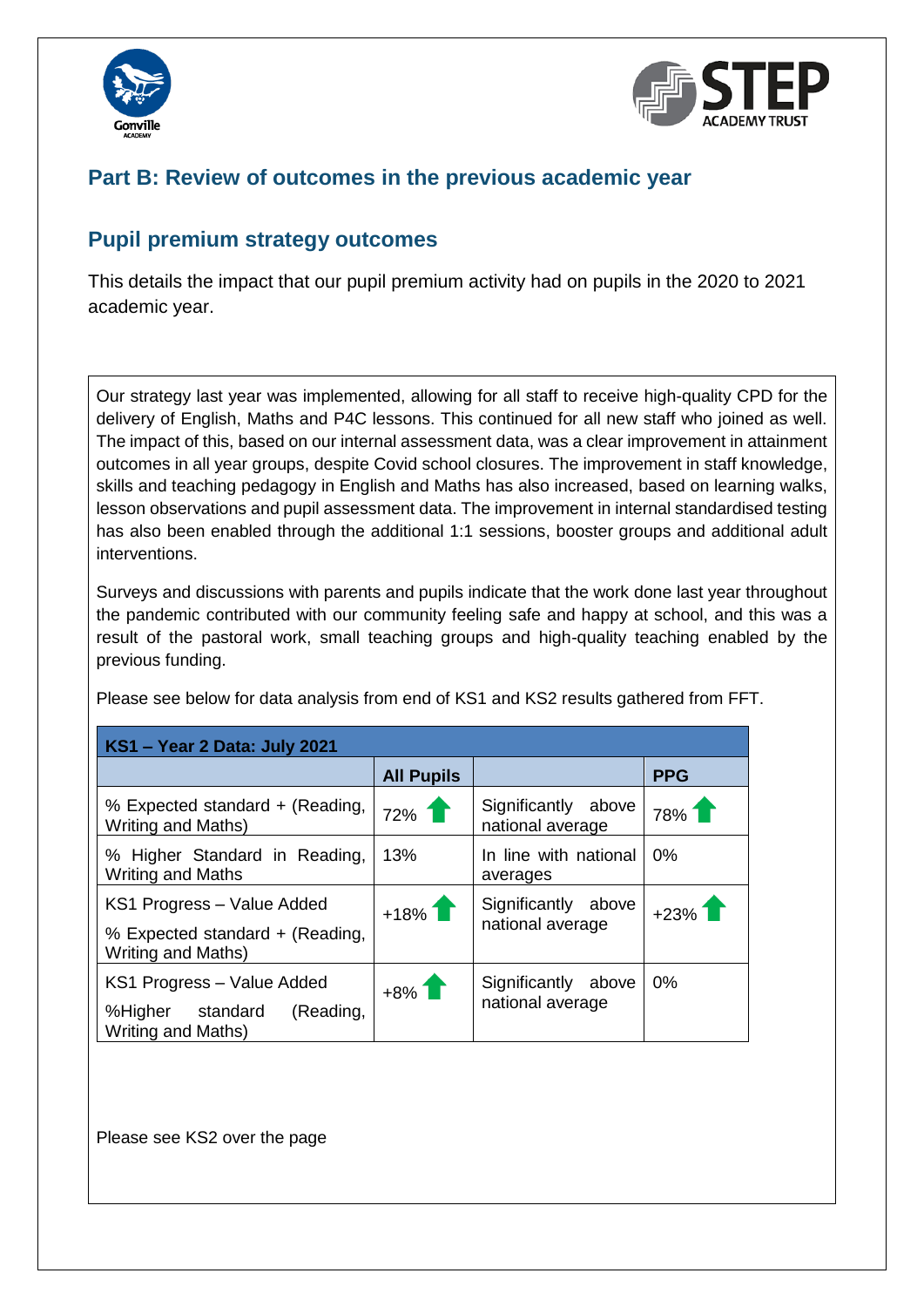



## **Part B: Review of outcomes in the previous academic year**

### **Pupil premium strategy outcomes**

This details the impact that our pupil premium activity had on pupils in the 2020 to 2021 academic year.

Our strategy last year was implemented, allowing for all staff to receive high-quality CPD for the delivery of English, Maths and P4C lessons. This continued for all new staff who joined as well. The impact of this, based on our internal assessment data, was a clear improvement in attainment outcomes in all year groups, despite Covid school closures. The improvement in staff knowledge, skills and teaching pedagogy in English and Maths has also increased, based on learning walks, lesson observations and pupil assessment data. The improvement in internal standardised testing has also been enabled through the additional 1:1 sessions, booster groups and additional adult interventions.

Surveys and discussions with parents and pupils indicate that the work done last year throughout the pandemic contributed with our community feeling safe and happy at school, and this was a result of the pastoral work, small teaching groups and high-quality teaching enabled by the previous funding.

| KS1 - Year 2 Data: July 2021                                                               |                   |                                         |            |
|--------------------------------------------------------------------------------------------|-------------------|-----------------------------------------|------------|
|                                                                                            | <b>All Pupils</b> |                                         | <b>PPG</b> |
| % Expected standard + (Reading,<br><b>Writing and Maths)</b>                               | $72\%$            | Significantly above<br>national average | 78%1       |
| % Higher Standard in Reading,<br><b>Writing and Maths</b>                                  | 13%               | In line with national<br>averages       | 0%         |
| KS1 Progress - Value Added<br>% Expected standard + (Reading,<br><b>Writing and Maths)</b> | $+18%$            | Significantly above<br>national average | $+23%$     |
| KS1 Progress - Value Added<br>%Higher standard<br>(Reading,<br>Writing and Maths)          | $+8\%$            | Significantly above<br>national average | $0\%$      |

Please see below for data analysis from end of KS1 and KS2 results gathered from FFT.

Please see KS2 over the page